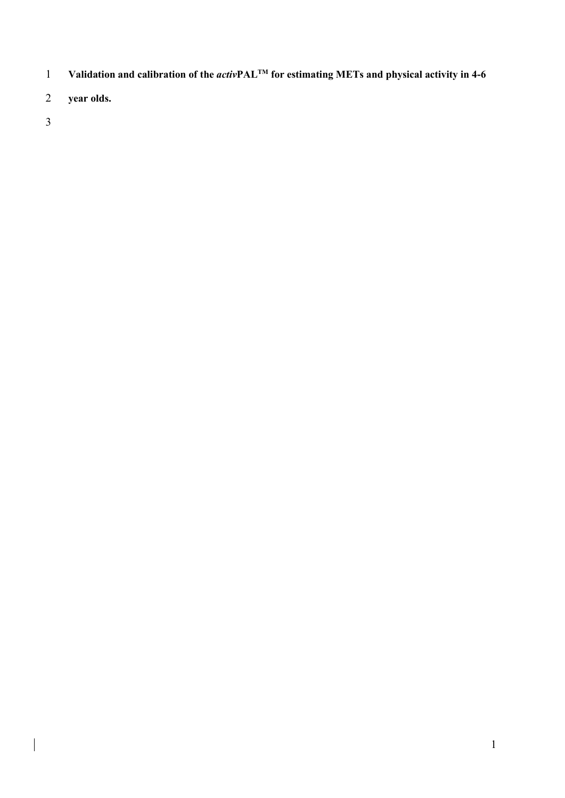- 1 Validation and calibration of the *activ*PAL<sup>TM</sup> for estimating METs and physical activity in 4-6
- 2 **year olds.**
- 3

 $\overline{\phantom{a}}$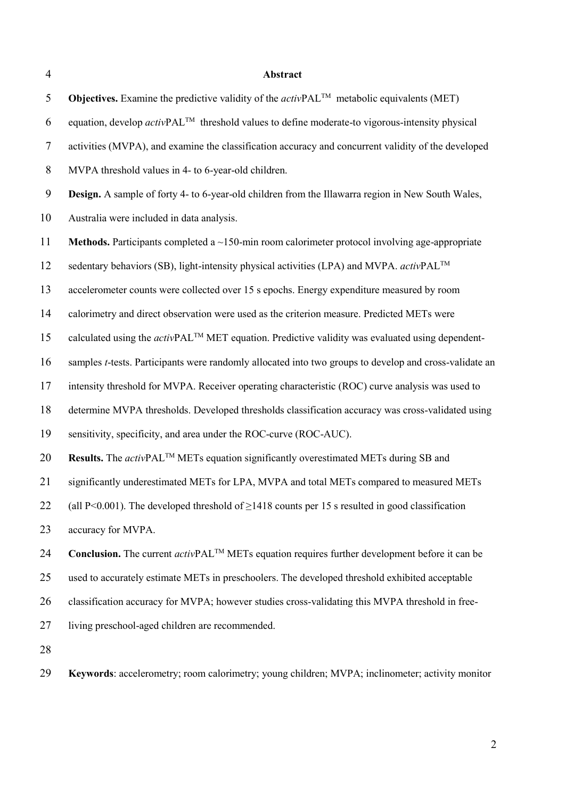**Abstract Objectives.** Examine the predictive validity of the *activPAL*<sup>TM</sup> metabolic equivalents (MET) 6 equation, develop *activ*PAL<sup>TM</sup> threshold values to define moderate-to vigorous-intensity physical activities (MVPA), and examine the classification accuracy and concurrent validity of the developed MVPA threshold values in 4- to 6-year-old children. **Design.** A sample of forty 4- to 6-year-old children from the Illawarra region in New South Wales, Australia were included in data analysis. **Methods.** Participants completed a ~150-min room calorimeter protocol involving age-appropriate 12 sedentary behaviors (SB), light-intensity physical activities (LPA) and MVPA. *activPAL*<sup>TM</sup> accelerometer counts were collected over 15 s epochs. Energy expenditure measured by room calorimetry and direct observation were used as the criterion measure. Predicted METs were 15 calculated using the  $activePAL^{TM} MET$  equation. Predictive validity was evaluated using dependent- samples *t*-tests. Participants were randomly allocated into two groups to develop and cross-validate an intensity threshold for MVPA. Receiver operating characteristic (ROC) curve analysis was used to determine MVPA thresholds. Developed thresholds classification accuracy was cross-validated using sensitivity, specificity, and area under the ROC-curve (ROC-AUC). 20 Results. The *activPAL*<sup>TM</sup> METs equation significantly overestimated METs during SB and significantly underestimated METs for LPA, MVPA and total METs compared to measured METs 22 (all P<0.001). The developed threshold of  $\geq$ 1418 counts per 15 s resulted in good classification accuracy for MVPA. **Conclusion.** The current *activPAL*<sup>TM</sup> METs equation requires further development before it can be used to accurately estimate METs in preschoolers. The developed threshold exhibited acceptable classification accuracy for MVPA; however studies cross-validating this MVPA threshold in free- living preschool-aged children are recommended. 

**Keywords**: accelerometry; room calorimetry; young children; MVPA; inclinometer; activity monitor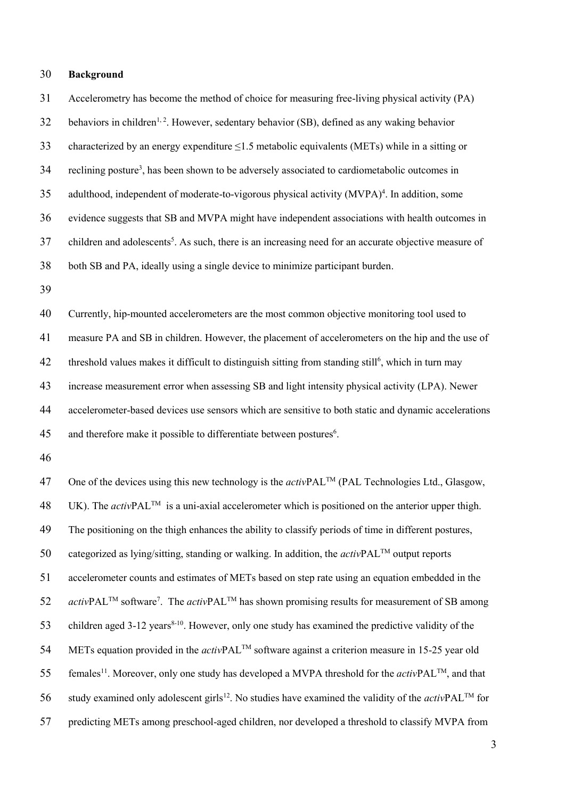#### **Background**

 Accelerometry has become the method of choice for measuring free-living physical activity (PA) behaviors in children<sup>[1,](#page-12-0) [2](#page-12-1)</sup>. However, sedentary behavior (SB), defined as any waking behavior characterized by an energy expenditure ≤1.5 metabolic equivalents (METs) while in a sitting or r[e](#page-12-2)clining posture<sup>3</sup>, has been shown to be adversely associated to cardiometabolic outcomes in adulthood, independent of moderate-to-vigorous physical activity (MVPA[\)](#page-12-3)<sup>4</sup>. In addition, some evidence suggests that SB and MVPA might have independent associations with health outcomes in 37 children and adolescents<sup>5</sup>[.](#page-12-4) As such, there is an increasing need for an accurate objective measure of both SB and PA, ideally using a single device to minimize participant burden. Currently, hip-mounted accelerometers are the most common objective monitoring tool used to measure PA and SB in children. However, the placement of accelerometers on the hip and the use of 42 thresho[l](#page-12-5)d values makes it difficult to distinguish sitting from standing still<sup>6</sup>, which in turn may increase measurement error when assessing SB and light intensity physical activity (LPA). Newer

 accelerometer-based devices use sensors which are sensitive to both static and dynamic accelerations 45 and therefore make it po[s](#page-12-5)sible to differentiate between postures<sup> $6$ </sup>.

47 One of the devices using this new technology is the *activPAL*™ (PAL Technologies Ltd., Glasgow, UK). The *activPAL*<sup>TM</sup> is a uni-axial accelerometer which is positioned on the anterior upper thigh. The positioning on the thigh enhances the ability to classify periods of time in different postures, 50 categorized as lying/sitting, standing or walking. In addition, the  $activePAL^{TM}$  output reports accelerometer counts and estimates of METs based on step rate using an equation embedded in the 52 *activPAL*<sup>TM</sup> softwar[e](#page-12-6)<sup>7</sup>. The *activPAL*<sup>TM</sup> has shown promising results for measurement of SB among 53 children aged 3-12 years<sup>[8-10](#page-12-7)</sup>. However, only one study has examined the predictive validity of the 54 METs equation provided in the *activPAL*<sup>TM</sup> software against a criterion measure in 15-25 year old 55 females<sup>[11](#page-12-8)</sup>. Moreover, only one study has developed a MVPA threshold for the *activPAL*<sup>TM</sup>, and that 56 study examined only adolescent girls<sup>[12](#page-12-9)</sup>. No studies have examined the validity of the *activPAL*<sup>TM</sup> for predicting METs among preschool-aged children, nor developed a threshold to classify MVPA from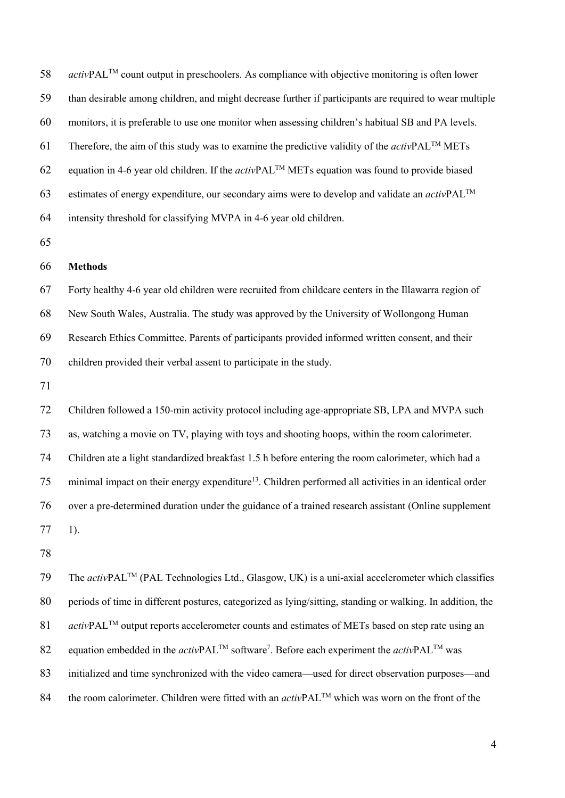*activPAL*<sup>TM</sup> count output in preschoolers. As compliance with objective monitoring is often lower than desirable among children, and might decrease further if participants are required to wear multiple monitors, it is preferable to use one monitor when assessing children's habitual SB and PA levels. Therefore, the aim of this study was to examine the predictive validity of the  $active$ PAL<sup>TM</sup> METs 62 equation in 4-6 year old children. If the *activPAL*<sup>TM</sup> METs equation was found to provide biased estimates of energy expenditure, our secondary aims were to develop and validate an *activ*PALTM intensity threshold for classifying MVPA in 4-6 year old children.

#### **Methods**

 Forty healthy 4-6 year old children were recruited from childcare centers in the Illawarra region of New South Wales, Australia. The study was approved by the University of Wollongong Human Research Ethics Committee. Parents of participants provided informed written consent, and their children provided their verbal assent to participate in the study.

 Children followed a 150-min activity protocol including age-appropriate SB, LPA and MVPA such as, watching a movie on TV, playing with toys and shooting hoops, within the room calorimeter. Children ate a light standardized breakfast 1.5 h before entering the room calorimeter, which had a 75 minimal impact on their energy expenditure<sup>[13](#page-12-10)</sup>. Children performed all activities in an identical order over a pre-determined duration under the guidance of a trained research assistant (Online supplement 1).

 The *activPAL*<sup>TM</sup> (PAL Technologies Ltd., Glasgow, UK) is a uni-axial accelerometer which classifies periods of time in different postures, categorized as lying/sitting, standing or walking. In addition, the *activPAL*<sup>TM</sup> output reports accelerometer counts and estimates of METs based on step rate using an [e](#page-12-6)quation embedded in the *activPAL*<sup>TM</sup> software<sup>7</sup>. Before each experiment the *activPAL*<sup>TM</sup> was initialized and time synchronized with the video camera—used for direct observation purposes—and 84 the room calorimeter. Children were fitted with an  $activePAL^{TM}$  which was worn on the front of the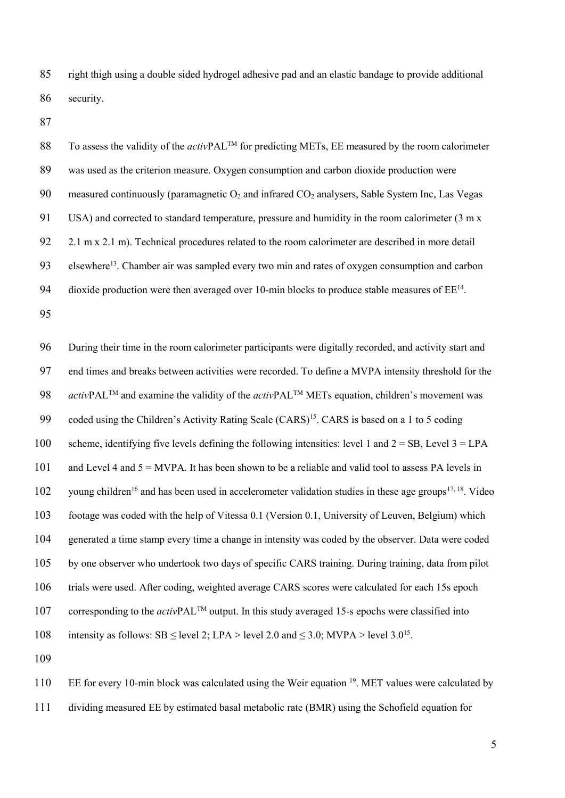right thigh using a double sided hydrogel adhesive pad and an elastic bandage to provide additional security.

To assess the validity of the *activPAL*<sup>TM</sup> for predicting METs, EE measured by the room calorimeter was used as the criterion measure. Oxygen consumption and carbon dioxide production were 90 measured continuously (paramagnetic  $O_2$  and infrared  $CO_2$  analysers, Sable System Inc, Las Vegas 91 USA) and corrected to standard temperature, pressure and humidity in the room calorimeter (3 m x 2.1 m x 2.1 m). Technical procedures related to the room calorimeter are described in more detail 93 elsewhere<sup>[13](#page-12-10)</sup>. Chamber air was sampled every two min and rates of oxygen consumption and carbon 94 dioxide production were then averaged over 10-min blocks to produce stable measures of  $EE^{14}$  $EE^{14}$  $EE^{14}$ . 

 During their time in the room calorimeter participants were digitally recorded, and activity start and end times and breaks between activities were recorded. To define a MVPA intensity threshold for the  $\alpha$ *ctivPAL*<sup>TM</sup> and examine the validity of the  $\alpha$ *ctivPAL*<sup>TM</sup> METs equation, children's movement was 99 coded using the Children's Activity Rating Scale (CARS)<sup>[15](#page-12-12)</sup>. CARS is based on a 1 to 5 coding 100 scheme, identifying five levels defining the following intensities: level 1 and  $2 = SB$ , Level  $3 = LPA$  and Level 4 and 5 = MVPA. It has been shown to be a reliable and valid tool to assess PA levels in 102 voung children<sup>[16](#page-12-13)</sup> and has been used in accelerometer validation studies in these age groups<sup>[17,](#page-12-14) [18](#page-12-15)</sup>. Video footage was coded with the help of Vitessa 0.1 (Version 0.1, University of Leuven, Belgium) which generated a time stamp every time a change in intensity was coded by the observer. Data were coded by one observer who undertook two days of specific CARS training. During training, data from pilot trials were used. After coding, weighted average CARS scores were calculated for each 15s epoch 107 corresponding to the *activPAL*<sup>TM</sup> output. In this study averaged 15-s epochs were classified into 108 intensity as follows:  $SB \le$  level 2; LPA > level 2.0 and  $\le$  3.0; MVPA > level 3.0<sup>[15](#page-12-12)</sup>.

110 EE for every 10-min block was calculated using the Weir equation . MET values were calculated by dividing measured EE by estimated basal metabolic rate (BMR) using the Schofield equation for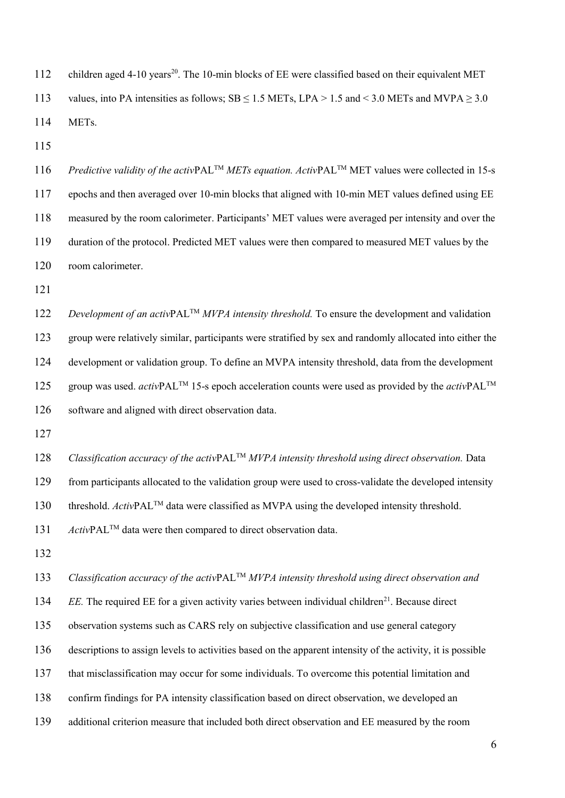112 children aged 4-10 years<sup>[20](#page-13-0)</sup>. The 10-min blocks of EE were classified based on their equivalent MET 113 values, into PA intensities as follows;  $SB \le 1.5$  METs, LPA > 1.5 and < 3.0 METs and MVPA  $\ge 3.0$ METs.

*Predictive validity of the activPAL*<sup>TM</sup> *METs equation. ActivPAL*<sup>TM</sup> MET values were collected in 15-s epochs and then averaged over 10-min blocks that aligned with 10-min MET values defined using EE measured by the room calorimeter. Participants' MET values were averaged per intensity and over the duration of the protocol. Predicted MET values were then compared to measured MET values by the room calorimeter.

122 Development of an activPAL<sup>TM</sup> *MVPA* intensity threshold. To ensure the development and validation group were relatively similar, participants were stratified by sex and randomly allocated into either the development or validation group. To define an MVPA intensity threshold, data from the development 125 group was used. *activPAL*<sup>TM</sup> 15-s epoch acceleration counts were used as provided by the *activPAL*<sup>TM</sup> software and aligned with direct observation data.

*Classification accuracy of the activ*PAL TM *MVPA intensity threshold using direct observation.* Data from participants allocated to the validation group were used to cross-validate the developed intensity 130 threshold.  $ActivPAL<sup>TM</sup>$  data were classified as MVPA using the developed intensity threshold.

*ActivPAL*<sup>TM</sup> data were then compared to direct observation data.

133 Classification accuracy of the activPAL<sup>TM</sup> *MVPA* intensity threshold using direct observation and

134 *EE.* The required EE for a given activity varies between individual children<sup>[21](#page-13-1)</sup>. Because direct

observation systems such as CARS rely on subjective classification and use general category

descriptions to assign levels to activities based on the apparent intensity of the activity, it is possible

that misclassification may occur for some individuals. To overcome this potential limitation and

confirm findings for PA intensity classification based on direct observation, we developed an

additional criterion measure that included both direct observation and EE measured by the room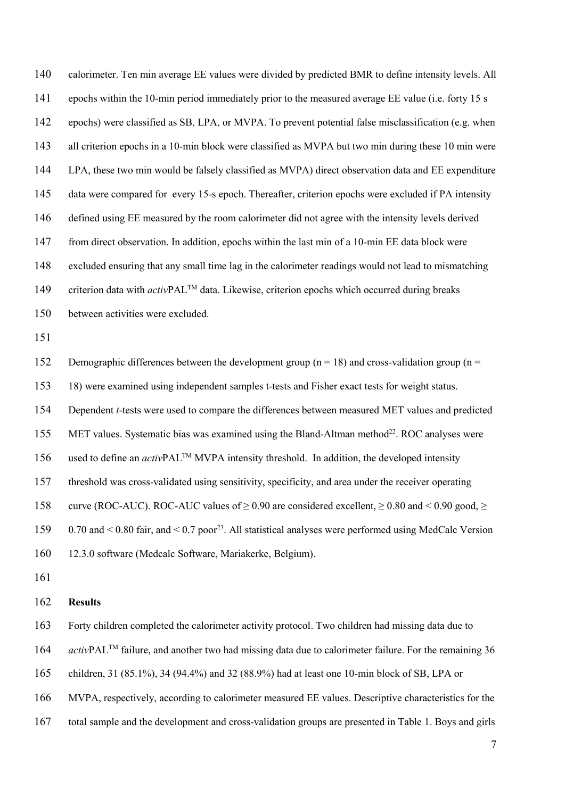calorimeter. Ten min average EE values were divided by predicted BMR to define intensity levels. All epochs within the 10-min period immediately prior to the measured average EE value (i.e. forty 15 s epochs) were classified as SB, LPA, or MVPA. To prevent potential false misclassification (e.g. when all criterion epochs in a 10-min block were classified as MVPA but two min during these 10 min were LPA, these two min would be falsely classified as MVPA) direct observation data and EE expenditure data were compared for every 15-s epoch. Thereafter, criterion epochs were excluded if PA intensity defined using EE measured by the room calorimeter did not agree with the intensity levels derived from direct observation. In addition, epochs within the last min of a 10-min EE data block were excluded ensuring that any small time lag in the calorimeter readings would not lead to mismatching 149 criterion data with  $activPAL^{TM}$  data. Likewise, criterion epochs which occurred during breaks between activities were excluded.

152 Demographic differences between the development group ( $n = 18$ ) and cross-validation group ( $n = 18$ ) 18) were examined using independent samples t-tests and Fisher exact tests for weight status. Dependent *t*-tests were used to compare the differences between measured MET values and predicted 155 MET values. Systematic bias was examined using the Bland-Altman method<sup>[22](#page-13-2)</sup>. ROC analyses were 156 used to define an  $\alpha c t v \rho A L^{TM} M V \rho A$  intensity threshold. In addition, the developed intensity threshold was cross-validated using sensitivity, specificity, and area under the receiver operating 158 curve (ROC-AUC). ROC-AUC values of  $\geq$  0.90 are considered excellent,  $\geq$  0.80 and < 0.90 good,  $\geq$ 

159 0.70 and  $\leq$  0.80 fair, and  $\leq$  0.7 poor<sup>[23](#page-13-3)</sup>. All statistical analyses were performed using MedCalc Version

12.3.0 software (Medcalc Software, Mariakerke, Belgium).

### **Results**

Forty children completed the calorimeter activity protocol. Two children had missing data due to

*activPAL*<sup>TM</sup> failure, and another two had missing data due to calorimeter failure. For the remaining 36

children, 31 (85.1%), 34 (94.4%) and 32 (88.9%) had at least one 10-min block of SB, LPA or

MVPA, respectively, according to calorimeter measured EE values. Descriptive characteristics for the

total sample and the development and cross-validation groups are presented in Table 1. Boys and girls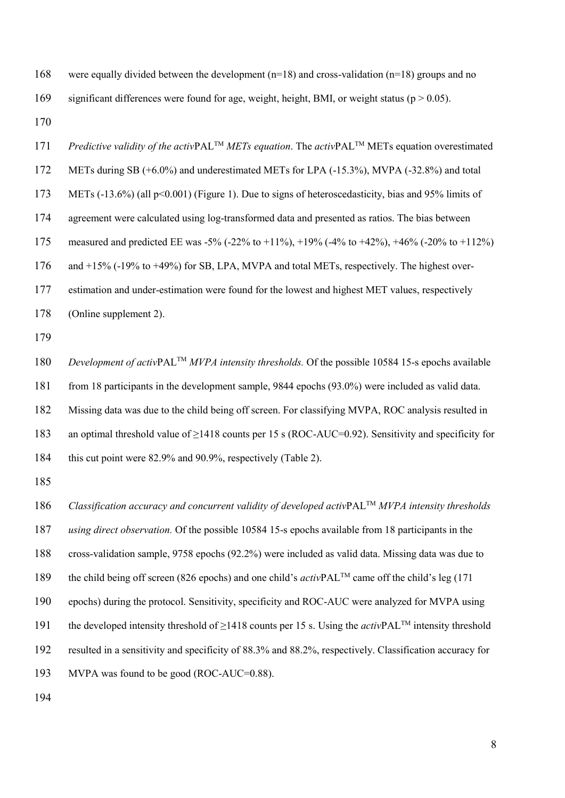- were equally divided between the development (n=18) and cross-validation (n=18) groups and no significant differences were found for age, weight, height, BMI, or weight status (p > 0.05).
- 
- *Predictive validity of the activPAL<sup>TM</sup> <i>METs equation*. The *activPAL*<sup>TM</sup> METs equation overestimated METs during SB (+6.0%) and underestimated METs for LPA (-15.3%), MVPA (-32.8%) and total METs (-13.6%) (all p<0.001) (Figure 1). Due to signs of heteroscedasticity, bias and 95% limits of agreement were calculated using log-transformed data and presented as ratios. The bias between measured and predicted EE was -5% (-22% to +11%), +19% (-4% to +42%), +46% (-20% to +112%) and +15% (-19% to +49%) for SB, LPA, MVPA and total METs, respectively. The highest over- estimation and under-estimation were found for the lowest and highest MET values, respectively (Online supplement 2).
- 

*Development of activPAL*<sup>™</sup> *MVPA intensity thresholds*. Of the possible 10584 15-s epochs available from 18 participants in the development sample, 9844 epochs (93.0%) were included as valid data. Missing data was due to the child being off screen. For classifying MVPA, ROC analysis resulted in an optimal threshold value of ≥1418 counts per 15 s (ROC-AUC=0.92). Sensitivity and specificity for this cut point were 82.9% and 90.9%, respectively (Table 2).

 Classification accuracy and concurrent validity of developed activPAL™ *MVPA* intensity thresholds *using direct observation.* Of the possible 10584 15-s epochs available from 18 participants in the cross-validation sample, 9758 epochs (92.2%) were included as valid data. Missing data was due to 189 the child being off screen (826 epochs) and one child's *activPAL*<sup>TM</sup> came off the child's leg (171) epochs) during the protocol. Sensitivity, specificity and ROC-AUC were analyzed for MVPA using the developed intensity threshold of ≥1418 counts per 15 s. Using the *activ*PALTM intensity threshold resulted in a sensitivity and specificity of 88.3% and 88.2%, respectively. Classification accuracy for MVPA was found to be good (ROC-AUC=0.88).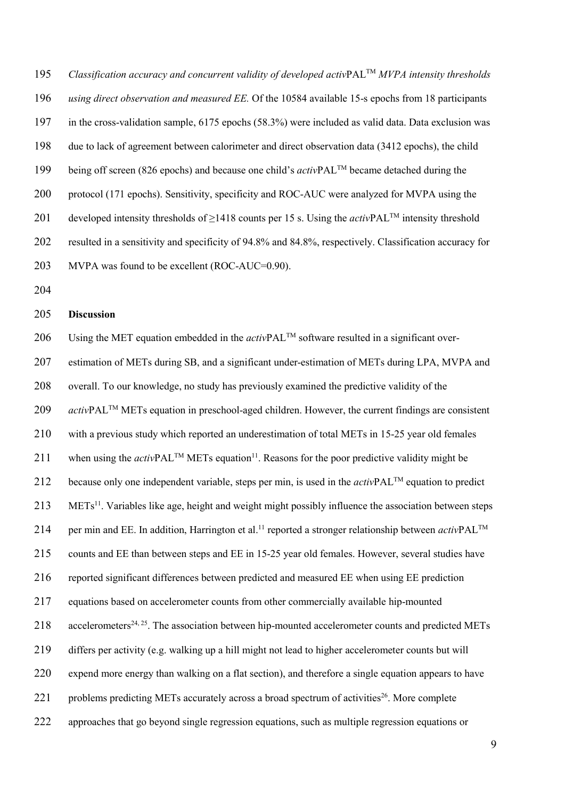*Classification accuracy and concurrent validity of developed activPAL™ MVPA intensity thresholds using direct observation and measured EE.* Of the 10584 available 15-s epochs from 18 participants in the cross-validation sample, 6175 epochs (58.3%) were included as valid data. Data exclusion was due to lack of agreement between calorimeter and direct observation data (3412 epochs), the child 199 being off screen (826 epochs) and because one child's  $\alpha c t v \Delta^T M$  became detached during the 200 protocol (171 epochs). Sensitivity, specificity and ROC-AUC were analyzed for MVPA using the 201 developed intensity thresholds of ≥1418 counts per 15 s. Using the *activPAL*<sup>™</sup> intensity threshold resulted in a sensitivity and specificity of 94.8% and 84.8%, respectively. Classification accuracy for MVPA was found to be excellent (ROC-AUC=0.90).

#### **Discussion**

206 Using the MET equation embedded in the  $activePAL^{TM}$  software resulted in a significant over- estimation of METs during SB, and a significant under-estimation of METs during LPA, MVPA and overall. To our knowledge, no study has previously examined the predictive validity of the *activPAL*<sup>TM</sup> METs equation in preschool-aged children. However, the current findings are consistent with a previous study which reported an underestimation of total METs in 15-25 year old females [11](#page-12-8) when using the *activPAL*<sup>TM</sup> METs equation<sup>11</sup>. Reasons for the poor predictive validity might be 212 because only one independent variable, steps per min, is used in the  $activePAL^{TM}$  equation to predict 213 METs<sup>[11](#page-12-8)</sup>. Variables like age, height and weight might possibly influence the association between steps 214 per min and EE. In addition, Harrington et al.<sup>[11](#page-12-8)</sup> reported a stronger relationship between *activPAL*<sup>TM</sup> counts and EE than between steps and EE in 15-25 year old females. However, several studies have reported significant differences between predicted and measured EE when using EE prediction equations based on accelerometer counts from other commercially available hip-mounted 218 accelerometers<sup>[24,](#page-13-4) [25](#page-13-5)</sup>. The association between hip-mounted accelerometer counts and predicted METs differs per activity (e.g. walking up a hill might not lead to higher accelerometer counts but will expend more energy than walking on a flat section), and therefore a single equation appears to have 221 problems predicting METs accurately across a broad spectrum of activities<sup>[26](#page-13-6)</sup>. More complete approaches that go beyond single regression equations, such as multiple regression equations or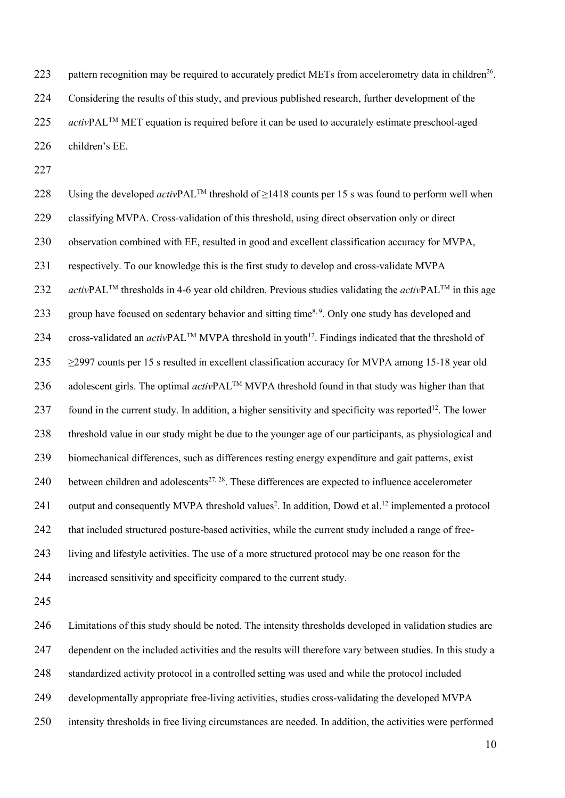223 pattern recognition may be required to accurately predict METs from accelerometry data in children<sup>[26](#page-13-6)</sup>. Considering the results of this study, and previous published research, further development of the *activPAL*<sup>TM</sup> MET equation is required before it can be used to accurately estimate preschool-aged children's EE.

228 Using the developed *activPAL*<sup>™</sup> threshold of ≥1418 counts per 15 s was found to perform well when classifying MVPA. Cross-validation of this threshold, using direct observation only or direct observation combined with EE, resulted in good and excellent classification accuracy for MVPA, respectively. To our knowledge this is the first study to develop and cross-validate MVPA 232 *activPAL*<sup>TM</sup> thresholds in 4-6 year old children. Previous studies validating the *activPAL*<sup>TM</sup> in this age 233 group have focused on sedentary behavior and sitting time<sup>[8,](#page-12-7) [9](#page-12-17)</sup>. Only one study has developed and 234 cross-validated an  $active$ PAL<sup>TM</sup> MVPA threshold in youth<sup>[12](#page-12-9)</sup>. Findings indicated that the threshold of ≥2997 counts per 15 s resulted in excellent classification accuracy for MVPA among 15-18 year old 236 adolescent girls. The optimal *activPAL*<sup>TM</sup> MVPA threshold found in that study was higher than that 237 found in the current study. In addition, a higher sensitivity and specificity was reported<sup>[12](#page-12-9)</sup>. The lower threshold value in our study might be due to the younger age of our participants, as physiological and biomechanical differences, such as differences resting energy expenditure and gait patterns, exist 240 between children and adolescents<sup>[27,](#page-13-7) [28](#page-13-8)</sup>. These differences are expected to influence accelerometer 241 output and con[s](#page-12-1)equently MVPA threshold values<sup>2</sup>. In addition, Dowd et al.<sup>[12](#page-12-9)</sup> implemented a protocol that included structured posture-based activities, while the current study included a range of free- living and lifestyle activities. The use of a more structured protocol may be one reason for the increased sensitivity and specificity compared to the current study.

 Limitations of this study should be noted. The intensity thresholds developed in validation studies are 247 dependent on the included activities and the results will therefore vary between studies. In this study a standardized activity protocol in a controlled setting was used and while the protocol included developmentally appropriate free-living activities, studies cross-validating the developed MVPA intensity thresholds in free living circumstances are needed. In addition, the activities were performed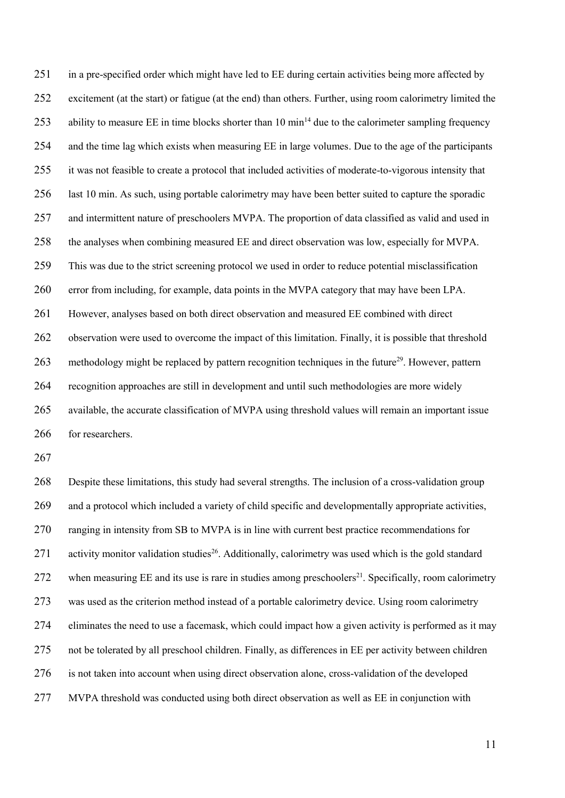in a pre-specified order which might have led to EE during certain activities being more affected by excitement (at the start) or fatigue (at the end) than others. Further, using room calorimetry limited the 253 ability to measure EE in time blocks shorter than  $10 \text{ min}^{14}$  $10 \text{ min}^{14}$  $10 \text{ min}^{14}$  due to the calorimeter sampling frequency and the time lag which exists when measuring EE in large volumes. Due to the age of the participants it was not feasible to create a protocol that included activities of moderate-to-vigorous intensity that last 10 min. As such, using portable calorimetry may have been better suited to capture the sporadic and intermittent nature of preschoolers MVPA. The proportion of data classified as valid and used in the analyses when combining measured EE and direct observation was low, especially for MVPA. This was due to the strict screening protocol we used in order to reduce potential misclassification error from including, for example, data points in the MVPA category that may have been LPA. However, analyses based on both direct observation and measured EE combined with direct observation were used to overcome the impact of this limitation. Finally, it is possible that threshold 263 methodology might be replaced by pattern recognition techniques in the future<sup>[29](#page-13-9)</sup>. However, pattern recognition approaches are still in development and until such methodologies are more widely available, the accurate classification of MVPA using threshold values will remain an important issue for researchers.

 Despite these limitations, this study had several strengths. The inclusion of a cross-validation group and a protocol which included a variety of child specific and developmentally appropriate activities, ranging in intensity from SB to MVPA is in line with current best practice recommendations for 271 activity monitor validation studies<sup>[26](#page-13-6)</sup>. Additionally, calorimetry was used which is the gold standard 272 when measuring EE and its use is rare in studies among preschoolers<sup>[21](#page-13-1)</sup>. Specifically, room calorimetry was used as the criterion method instead of a portable calorimetry device. Using room calorimetry eliminates the need to use a facemask, which could impact how a given activity is performed as it may not be tolerated by all preschool children. Finally, as differences in EE per activity between children is not taken into account when using direct observation alone, cross-validation of the developed MVPA threshold was conducted using both direct observation as well as EE in conjunction with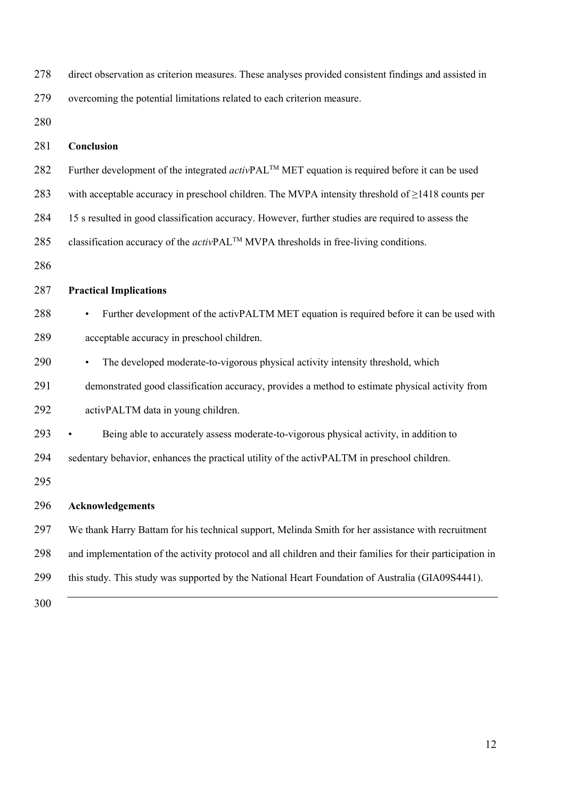| 278 | direct observation as criterion measures. These analyses provided consistent findings and assisted in |  |  |
|-----|-------------------------------------------------------------------------------------------------------|--|--|
|     |                                                                                                       |  |  |

overcoming the potential limitations related to each criterion measure.

#### **Conclusion**

- 282 Further development of the integrated  $activity$ PAL<sup>TM</sup> MET equation is required before it can be used
- with acceptable accuracy in preschool children. The MVPA intensity threshold of ≥1418 counts per
- 15 s resulted in good classification accuracy. However, further studies are required to assess the

285 classification accuracy of the  $activePAL^{TM} MVPA$  thresholds in free-living conditions.

### **Practical Implications**

- Further development of the activPALTM MET equation is required before it can be used with acceptable accuracy in preschool children.
- The developed moderate-to-vigorous physical activity intensity threshold, which
- demonstrated good classification accuracy, provides a method to estimate physical activity from
- activPALTM data in young children.
- Being able to accurately assess moderate-to-vigorous physical activity, in addition to
- sedentary behavior, enhances the practical utility of the activPALTM in preschool children.

### **Acknowledgements**

- We thank Harry Battam for his technical support, Melinda Smith for her assistance with recruitment
- and implementation of the activity protocol and all children and their families for their participation in
- this study. This study was supported by the National Heart Foundation of Australia (GIA09S4441).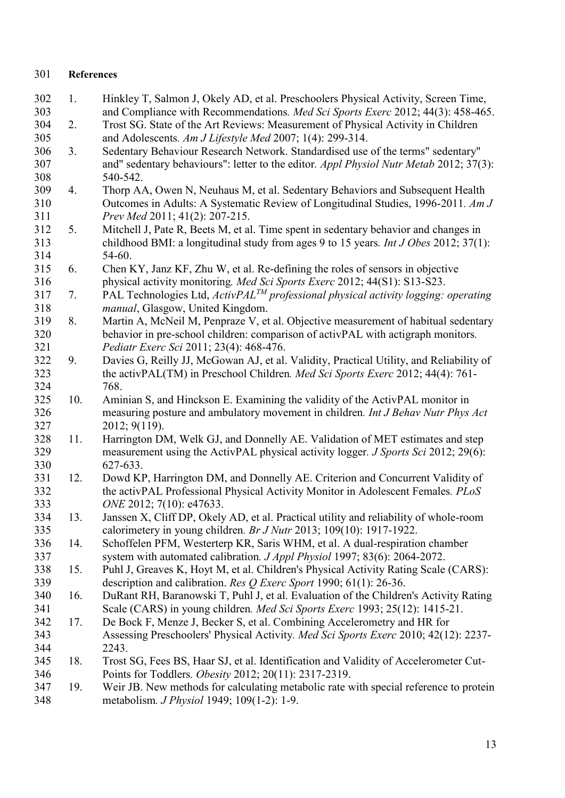## **References**

<span id="page-12-17"></span><span id="page-12-16"></span><span id="page-12-15"></span><span id="page-12-14"></span><span id="page-12-13"></span><span id="page-12-12"></span><span id="page-12-11"></span><span id="page-12-10"></span><span id="page-12-9"></span><span id="page-12-8"></span><span id="page-12-7"></span><span id="page-12-6"></span><span id="page-12-5"></span><span id="page-12-4"></span><span id="page-12-3"></span><span id="page-12-2"></span><span id="page-12-1"></span><span id="page-12-0"></span>

| 302 | 1.  | Hinkley T, Salmon J, Okely AD, et al. Preschoolers Physical Activity, Screen Time,             |
|-----|-----|------------------------------------------------------------------------------------------------|
| 303 |     | and Compliance with Recommendations. Med Sci Sports Exerc 2012; 44(3): 458-465.                |
| 304 | 2.  | Trost SG. State of the Art Reviews: Measurement of Physical Activity in Children               |
| 305 |     | and Adolescents. Am J Lifestyle Med 2007; 1(4): 299-314.                                       |
| 306 | 3.  | Sedentary Behaviour Research Network. Standardised use of the terms" sedentary"                |
| 307 |     | and" sedentary behaviours": letter to the editor. Appl Physiol Nutr Metab 2012; 37(3):         |
| 308 |     | 540-542.                                                                                       |
| 309 | 4.  | Thorp AA, Owen N, Neuhaus M, et al. Sedentary Behaviors and Subsequent Health                  |
| 310 |     | Outcomes in Adults: A Systematic Review of Longitudinal Studies, 1996-2011. Am J               |
| 311 |     | Prev Med 2011; 41(2): 207-215.                                                                 |
| 312 | 5.  | Mitchell J, Pate R, Beets M, et al. Time spent in sedentary behavior and changes in            |
| 313 |     | childhood BMI: a longitudinal study from ages 9 to 15 years. <i>Int J Obes</i> 2012; 37(1):    |
| 314 |     | 54-60.                                                                                         |
| 315 | 6.  | Chen KY, Janz KF, Zhu W, et al. Re-defining the roles of sensors in objective                  |
| 316 |     | physical activity monitoring. Med Sci Sports Exerc 2012; 44(S1): S13-S23.                      |
| 317 | 7.  | PAL Technologies Ltd, ActivPAL <sup>TM</sup> professional physical activity logging: operating |
| 318 |     | manual, Glasgow, United Kingdom.                                                               |
| 319 | 8.  | Martin A, McNeil M, Penpraze V, et al. Objective measurement of habitual sedentary             |
| 320 |     | behavior in pre-school children: comparison of activPAL with actigraph monitors.               |
| 321 |     | Pediatr Exerc Sci 2011; 23(4): 468-476.                                                        |
| 322 | 9.  | Davies G, Reilly JJ, McGowan AJ, et al. Validity, Practical Utility, and Reliability of        |
| 323 |     | the activPAL(TM) in Preschool Children. Med Sci Sports Exerc 2012; 44(4): 761-                 |
| 324 |     | 768.                                                                                           |
| 325 | 10. | Aminian S, and Hinckson E. Examining the validity of the ActivPAL monitor in                   |
| 326 |     | measuring posture and ambulatory movement in children. Int J Behav Nutr Phys Act               |
| 327 |     | 2012; 9(119).                                                                                  |
| 328 | 11. | Harrington DM, Welk GJ, and Donnelly AE. Validation of MET estimates and step                  |
| 329 |     | measurement using the ActivPAL physical activity logger. <i>J Sports Sci</i> 2012; 29(6):      |
| 330 |     | 627-633.                                                                                       |
| 331 | 12. | Dowd KP, Harrington DM, and Donnelly AE. Criterion and Concurrent Validity of                  |
| 332 |     | the activPAL Professional Physical Activity Monitor in Adolescent Females. PLoS                |
| 333 |     | ONE 2012; 7(10): e47633.                                                                       |
| 334 | 13. | Janssen X, Cliff DP, Okely AD, et al. Practical utility and reliability of whole-room          |
| 335 |     | calorimetery in young children. Br J Nutr 2013; 109(10): 1917-1922.                            |
| 336 | 14. | Schoffelen PFM, Westerterp KR, Saris WHM, et al. A dual-respiration chamber                    |
| 337 |     | system with automated calibration. <i>J Appl Physiol</i> 1997; 83(6): 2064-2072.               |
| 338 | 15. | Puhl J, Greaves K, Hoyt M, et al. Children's Physical Activity Rating Scale (CARS):            |
| 339 |     | description and calibration. Res Q Exerc Sport 1990; 61(1): 26-36.                             |
| 340 | 16. | DuRant RH, Baranowski T, Puhl J, et al. Evaluation of the Children's Activity Rating           |
| 341 |     | Scale (CARS) in young children. <i>Med Sci Sports Exerc</i> 1993; 25(12): 1415-21.             |
| 342 | 17. | De Bock F, Menze J, Becker S, et al. Combining Accelerometry and HR for                        |
| 343 |     | Assessing Preschoolers' Physical Activity. Med Sci Sports Exerc 2010; 42(12): 2237-            |
| 344 |     | 2243.                                                                                          |
| 345 | 18. | Trost SG, Fees BS, Haar SJ, et al. Identification and Validity of Accelerometer Cut-           |
| 346 |     | Points for Toddlers. Obesity 2012; 20(11): 2317-2319.                                          |
| 347 | 19. | Weir JB. New methods for calculating metabolic rate with special reference to protein          |
| 348 |     | metabolism. <i>J Physiol</i> 1949; 109(1-2): 1-9.                                              |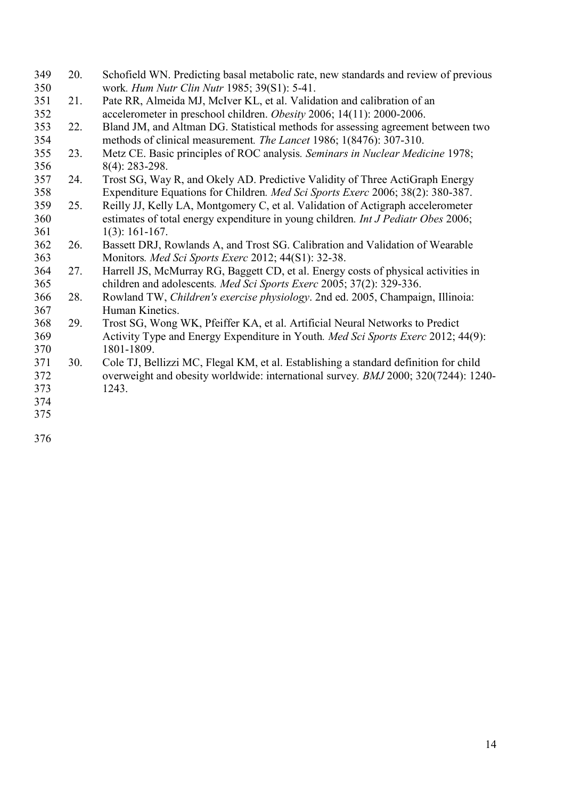- <span id="page-13-0"></span> 20. Schofield WN. Predicting basal metabolic rate, new standards and review of previous work*. Hum Nutr Clin Nutr* 1985; 39(S1): 5-41.
- <span id="page-13-1"></span> 21. Pate RR, Almeida MJ, McIver KL, et al. Validation and calibration of an accelerometer in preschool children. *Obesity* 2006; 14(11): 2000-2006.
- <span id="page-13-2"></span> 22. Bland JM, and Altman DG. Statistical methods for assessing agreement between two methods of clinical measurement*. The Lancet* 1986; 1(8476): 307-310.
- <span id="page-13-3"></span> 23. Metz CE. Basic principles of ROC analysis*. Seminars in Nuclear Medicine* 1978; 8(4): 283-298.
- <span id="page-13-4"></span> 24. Trost SG, Way R, and Okely AD. Predictive Validity of Three ActiGraph Energy Expenditure Equations for Children*. Med Sci Sports Exerc* 2006; 38(2): 380-387.
- <span id="page-13-5"></span> 25. Reilly JJ, Kelly LA, Montgomery C, et al. Validation of Actigraph accelerometer estimates of total energy expenditure in young children*. Int J Pediatr Obes* 2006; 1(3): 161-167.
- <span id="page-13-6"></span> 26. Bassett DRJ, Rowlands A, and Trost SG. Calibration and Validation of Wearable Monitors*. Med Sci Sports Exerc* 2012; 44(S1): 32-38.
- <span id="page-13-7"></span> 27. Harrell JS, McMurray RG, Baggett CD, et al. Energy costs of physical activities in children and adolescents*. Med Sci Sports Exerc* 2005; 37(2): 329-336.
- <span id="page-13-8"></span> 28. Rowland TW, *Children's exercise physiology*. 2nd ed. 2005, Champaign, Illinoia: Human Kinetics.
- <span id="page-13-9"></span> 29. Trost SG, Wong WK, Pfeiffer KA, et al. Artificial Neural Networks to Predict Activity Type and Energy Expenditure in Youth*. Med Sci Sports Exerc* 2012; 44(9): 1801-1809.
- <span id="page-13-10"></span> 30. Cole TJ, Bellizzi MC, Flegal KM, et al. Establishing a standard definition for child overweight and obesity worldwide: international survey*. BMJ* 2000; 320(7244): 1240- 1243.
-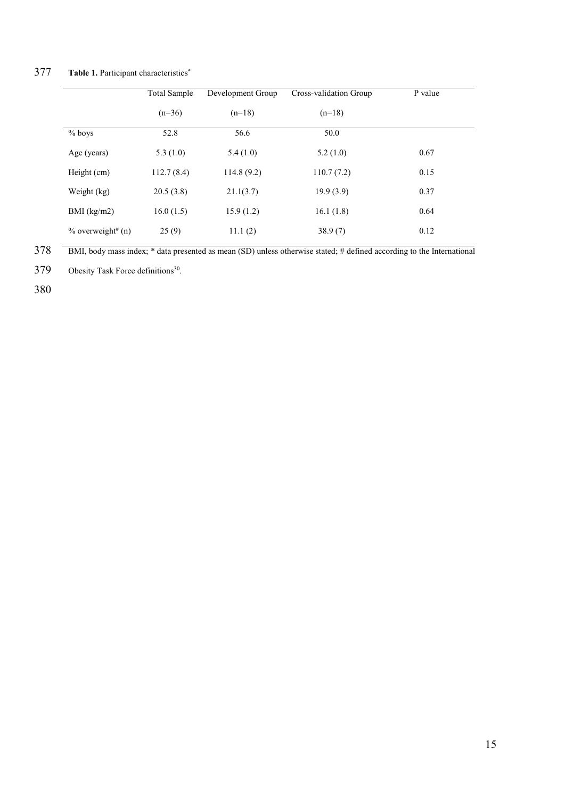# 377 **Table 1.** Participant characteristics\*

|                     | <b>Total Sample</b> | Development Group | Cross-validation Group | P value |  |
|---------------------|---------------------|-------------------|------------------------|---------|--|
|                     | $(n=36)$            | $(n=18)$          | $(n=18)$               |         |  |
| $%$ boys            | 52.8                | 56.6              | 50.0                   |         |  |
| Age (years)         | 5.3(1.0)            | 5.4(1.0)          | 5.2(1.0)               | 0.67    |  |
| Height (cm)         | 112.7(8.4)          | 114.8(9.2)        | 110.7(7.2)             | 0.15    |  |
| Weight (kg)         | 20.5(3.8)           | 21.1(3.7)         | 19.9(3.9)              | 0.37    |  |
| $BMI$ (kg/m2)       | 16.0(1.5)           | 15.9(1.2)         | 16.1(1.8)              | 0.64    |  |
| $%$ overweight# (n) | 25(9)               | 11.1(2)           | 38.9(7)                | 0.12    |  |

378 BMI, body mass index; \* data presented as mean (SD) unless otherwise stated; # defined according to the International

379 . Obesity Task Force definitions<sup>[30](#page-13-10)</sup>.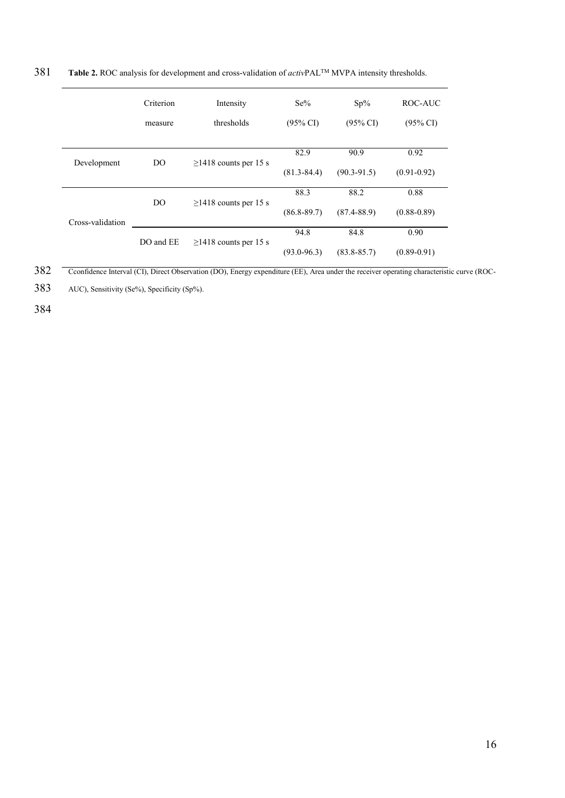**Table 2.** ROC analysis for development and cross-validation of *activPAL*™ MVPA intensity thresholds.

|                  | Criterion<br>measure | Intensity<br>thresholds                  | Se%<br>$(95\% \text{ CI})$ | $Sp\%$<br>$(95\% \text{ CI})$ | ROC-AUC<br>$(95\% \text{ CI})$ |
|------------------|----------------------|------------------------------------------|----------------------------|-------------------------------|--------------------------------|
| Development      | DO                   | $\geq$ 1418 counts per 15 s              | 82.9                       | 90.9                          | 0.92                           |
|                  |                      |                                          | $(81.3 - 84.4)$<br>88.3    | $(90.3 - 91.5)$<br>88.2       | $(0.91 - 0.92)$<br>0.88        |
| Cross-validation | D <sub>O</sub>       | $\geq$ 1418 counts per 15 s              | $(86.8 - 89.7)$            | $(87.4 - 88.9)$               | $(0.88 - 0.89)$                |
|                  |                      | DO and EE<br>$\geq$ 1418 counts per 15 s | 94.8                       | 84.8                          | 0.90                           |
|                  |                      |                                          | $(93.0 - 96.3)$            | $(83.8 - 85.7)$               | $(0.89 - 0.91)$                |

382 Cconfidence Interval (CI), Direct Observation (DO), Energy expenditure (EE), Area under the receiver operating characteristic curve (ROC-

383 AUC), Sensitivity (Se%), Specificity (Sp%).